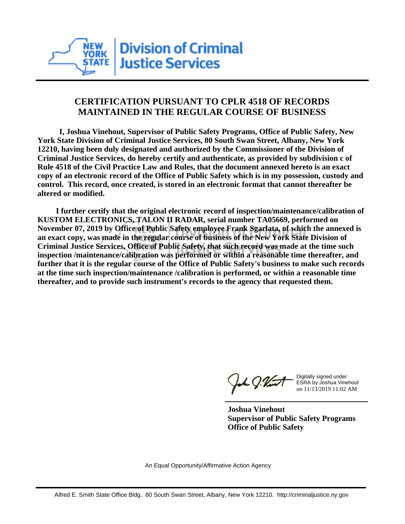

## **CERTIFICATION PURSUANT TO CPLR 4518 OF RECORDS MAINTAINED IN THE REGULAR COURSE OF BUSINESS**

 **I, Joshua Vinehout, Supervisor of Public Safety Programs, Office of Public Safety, New York State Division of Criminal Justice Services, 80 South Swan Street, Albany, New York 12210, having been duly designated and authorized by the Commissioner of the Division of Criminal Justice Services, do hereby certify and authenticate, as provided by subdivision c of Rule 4518 of the Civil Practice Law and Rules, that the document annexed hereto is an exact copy of an electronic record of the Office of Public Safety which is in my possession, custody and control. This record, once created, is stored in an electronic format that cannot thereafter be altered or modified.**

 **I further certify that the original electronic record of inspection/maintenance/calibration of KUSTOM ELECTRONICS, TALON II RADAR, serial number TA05669, performed on November 07, 2019 by Office of Public Safety employee Frank Sgarlata, of which the annexed is an exact copy, was made in the regular course of business of the New York State Division of Criminal Justice Services, Office of Public Safety, that such record was made at the time such inspection /maintenance/calibration was performed or within a reasonable time thereafter, and further that it is the regular course of the Office of Public Safety's business to make such records at the time such inspection/maintenance /calibration is performed, or within a reasonable time thereafter, and to provide such instrument's records to the agency that requested them.**

the g. Vint

Digitally signed under ESRA by Joshua Vinehout on 11/13/2019 11:02 AM

**Joshua Vinehout Supervisor of Public Safety Programs Office of Public Safety**

An Equal Opportunity/Affirmative Action Agency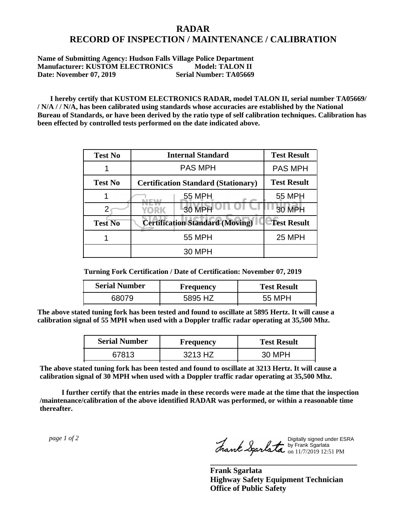## **RADAR RECORD OF INSPECTION / MAINTENANCE / CALIBRATION**

**Name of Submitting Agency: Hudson Falls Village Police Department Manufacturer: KUSTOM ELECTRONICS** Model: TALON II<br>Date: November 07. 2019 Serial Number: TA05669 Date: November 07, 2019

 **I hereby certify that KUSTOM ELECTRONICS RADAR, model TALON II, serial number TA05669/ / N/A / / N/A, has been calibrated using standards whose accuracies are established by the National Bureau of Standards, or have been derived by the ratio type of self calibration techniques. Calibration has been effected by controlled tests performed on the date indicated above.**

| <b>Test No</b> | <b>Internal Standard</b>                   | <b>Test Result</b> |
|----------------|--------------------------------------------|--------------------|
|                | <b>PAS MPH</b>                             | <b>PAS MPH</b>     |
| <b>Test No</b> | <b>Certification Standard (Stationary)</b> | <b>Test Result</b> |
|                | 55 MPH                                     | 55 MPH             |
|                | 30 MPH<br><b>YORK</b>                      | <b>30 MPH</b>      |
| <b>Test No</b> | <b>Certification Standard (Moving)</b>     | <b>Test Result</b> |
|                | <b>55 MPH</b>                              | <b>25 MPH</b>      |
|                | 30 MPH                                     |                    |

**Turning Fork Certification / Date of Certification: November 07, 2019**

| <b>Serial Number</b> | Frequency | <b>Test Result</b> |
|----------------------|-----------|--------------------|
| 38079                | 5895 HZ   | 55 MPH             |

**The above stated tuning fork has been tested and found to oscillate at 5895 Hertz. It will cause a calibration signal of 55 MPH when used with a Doppler traffic radar operating at 35,500 Mhz.**

| <b>Serial Number</b> | <b>Frequency</b> | <b>Test Result</b> |
|----------------------|------------------|--------------------|
| 67813                | 3213 HZ          | 30 MPH             |

**The above stated tuning fork has been tested and found to oscillate at 3213 Hertz. It will cause a calibration signal of 30 MPH when used with a Doppler traffic radar operating at 35,500 Mhz.**

 **I further certify that the entries made in these records were made at the time that the inspection /maintenance/calibration of the above identified RADAR was performed, or within a reasonable time thereafter.**

 *page 1 of 2* 

Digitally signed under ESRA by Frank Sgarlata on 11/7/2019 12:51 PM

**\_\_\_\_\_\_\_\_\_\_\_\_\_\_\_\_\_\_\_\_\_\_\_\_\_\_\_\_\_\_\_\_\_\_\_\_\_**

**Frank Sgarlata Highway Safety Equipment Technician Office of Public Safety**